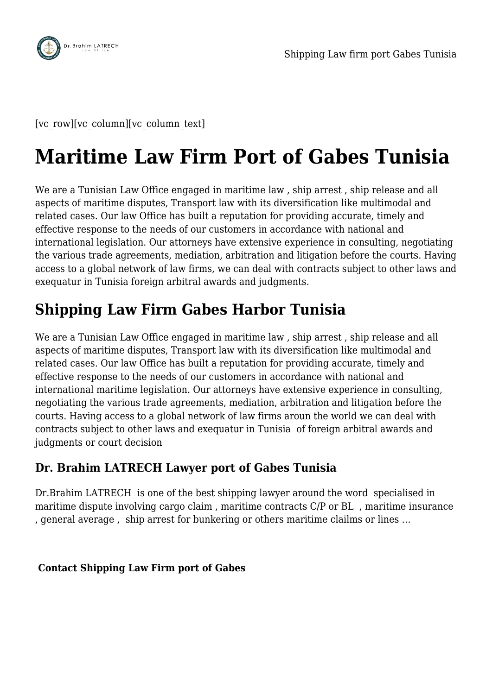

[vc\_row][vc\_column][vc\_column\_text]

## **Maritime Law Firm Port of Gabes Tunisia**

We are a Tunisian Law Office engaged in maritime law , ship arrest , ship release and all aspects of maritime disputes, Transport law with its diversification like multimodal and related cases. Our law Office has built a reputation for providing accurate, timely and effective response to the needs of our customers in accordance with national and international legislation. Our attorneys have extensive experience in consulting, negotiating the various trade agreements, mediation, arbitration and litigation before the courts. Having access to a global network of law firms, we can deal with contracts subject to other laws and exequatur in Tunisia foreign arbitral awards and judgments.

## **Shipping Law Firm Gabes Harbor Tunisia**

We are a Tunisian Law Office engaged in maritime law , ship arrest , ship release and all aspects of maritime disputes, Transport law with its diversification like multimodal and related cases. Our law Office has built a reputation for providing accurate, timely and effective response to the needs of our customers in accordance with national and international maritime legislation. Our attorneys have extensive experience in consulting, negotiating the various trade agreements, mediation, arbitration and litigation before the courts. Having access to a global network of law firms aroun the world we can deal with contracts subject to other laws and exequatur in Tunisia of foreign arbitral awards and judgments or court decision

## **Dr. Brahim LATRECH Lawyer port of Gabes Tunisia**

Dr.Brahim LATRECH is one of the best shipping lawyer around the word specialised in maritime dispute involving cargo claim , maritime contracts C/P or BL , maritime insurance , general average , ship arrest for bunkering or others maritime clailms or lines …

## **Contact Shipping Law Firm port of Gabes**